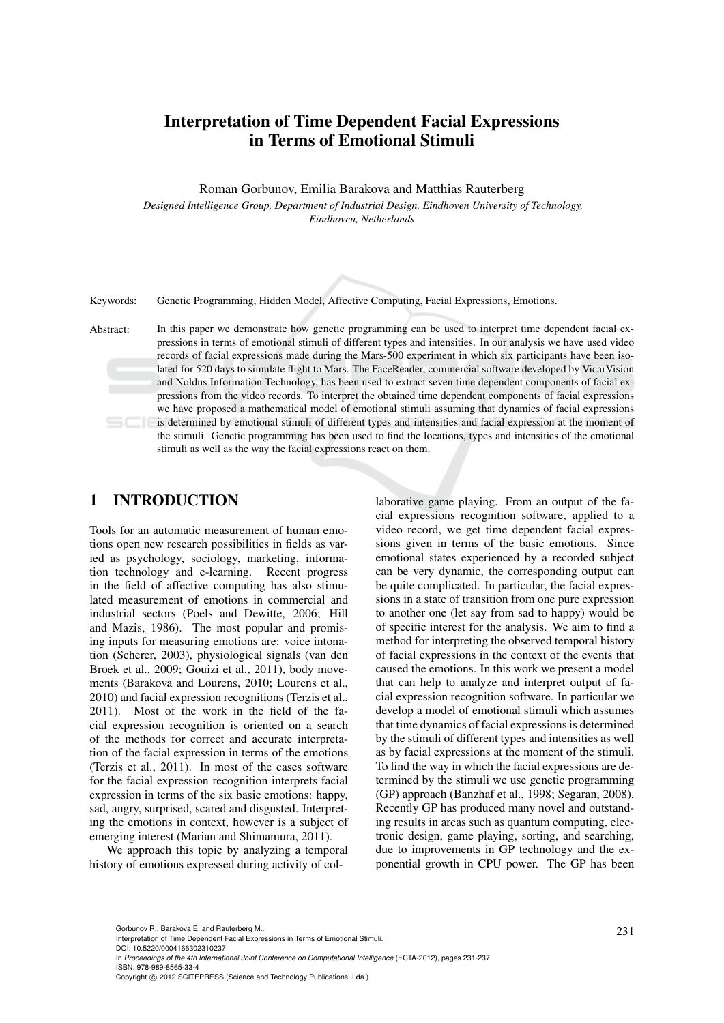# Interpretation of Time Dependent Facial Expressions in Terms of Emotional Stimuli

Roman Gorbunov, Emilia Barakova and Matthias Rauterberg

*Designed Intelligence Group, Department of Industrial Design, Eindhoven University of Technology, Eindhoven, Netherlands*

Keywords: Genetic Programming, Hidden Model, Affective Computing, Facial Expressions, Emotions.

Abstract: In this paper we demonstrate how genetic programming can be used to interpret time dependent facial expressions in terms of emotional stimuli of different types and intensities. In our analysis we have used video records of facial expressions made during the Mars-500 experiment in which six participants have been isolated for 520 days to simulate flight to Mars. The FaceReader, commercial software developed by VicarVision and Noldus Information Technology, has been used to extract seven time dependent components of facial expressions from the video records. To interpret the obtained time dependent components of facial expressions we have proposed a mathematical model of emotional stimuli assuming that dynamics of facial expressions is determined by emotional stimuli of different types and intensities and facial expression at the moment of the stimuli. Genetic programming has been used to find the locations, types and intensities of the emotional stimuli as well as the way the facial expressions react on them.

## 1 INTRODUCTION

Tools for an automatic measurement of human emotions open new research possibilities in fields as varied as psychology, sociology, marketing, information technology and e-learning. Recent progress in the field of affective computing has also stimulated measurement of emotions in commercial and industrial sectors (Poels and Dewitte, 2006; Hill and Mazis, 1986). The most popular and promising inputs for measuring emotions are: voice intonation (Scherer, 2003), physiological signals (van den Broek et al., 2009; Gouizi et al., 2011), body movements (Barakova and Lourens, 2010; Lourens et al., 2010) and facial expression recognitions (Terzis et al., 2011). Most of the work in the field of the facial expression recognition is oriented on a search of the methods for correct and accurate interpretation of the facial expression in terms of the emotions (Terzis et al., 2011). In most of the cases software for the facial expression recognition interprets facial expression in terms of the six basic emotions: happy, sad, angry, surprised, scared and disgusted. Interpreting the emotions in context, however is a subject of emerging interest (Marian and Shimamura, 2011).

We approach this topic by analyzing a temporal history of emotions expressed during activity of col-

laborative game playing. From an output of the facial expressions recognition software, applied to a video record, we get time dependent facial expressions given in terms of the basic emotions. Since emotional states experienced by a recorded subject can be very dynamic, the corresponding output can be quite complicated. In particular, the facial expressions in a state of transition from one pure expression to another one (let say from sad to happy) would be of specific interest for the analysis. We aim to find a method for interpreting the observed temporal history of facial expressions in the context of the events that caused the emotions. In this work we present a model that can help to analyze and interpret output of facial expression recognition software. In particular we develop a model of emotional stimuli which assumes that time dynamics of facial expressions is determined by the stimuli of different types and intensities as well as by facial expressions at the moment of the stimuli. To find the way in which the facial expressions are determined by the stimuli we use genetic programming (GP) approach (Banzhaf et al., 1998; Segaran, 2008). Recently GP has produced many novel and outstanding results in areas such as quantum computing, electronic design, game playing, sorting, and searching, due to improvements in GP technology and the exponential growth in CPU power. The GP has been

DOI: 10.5220/0004166302310237

Gorbunov R., Barakova E. and Rauterberg M..<br>Interpretation of Time Dependent Facial Expressions in Terms of Emotional Stimuli.

In *Proceedings of the 4th International Joint Conference on Computational Intelligence* (ECTA-2012), pages 231-237 ISBN: 978-989-8565-33-4

Copyright (C) 2012 SCITEPRESS (Science and Technology Publications, Lda.)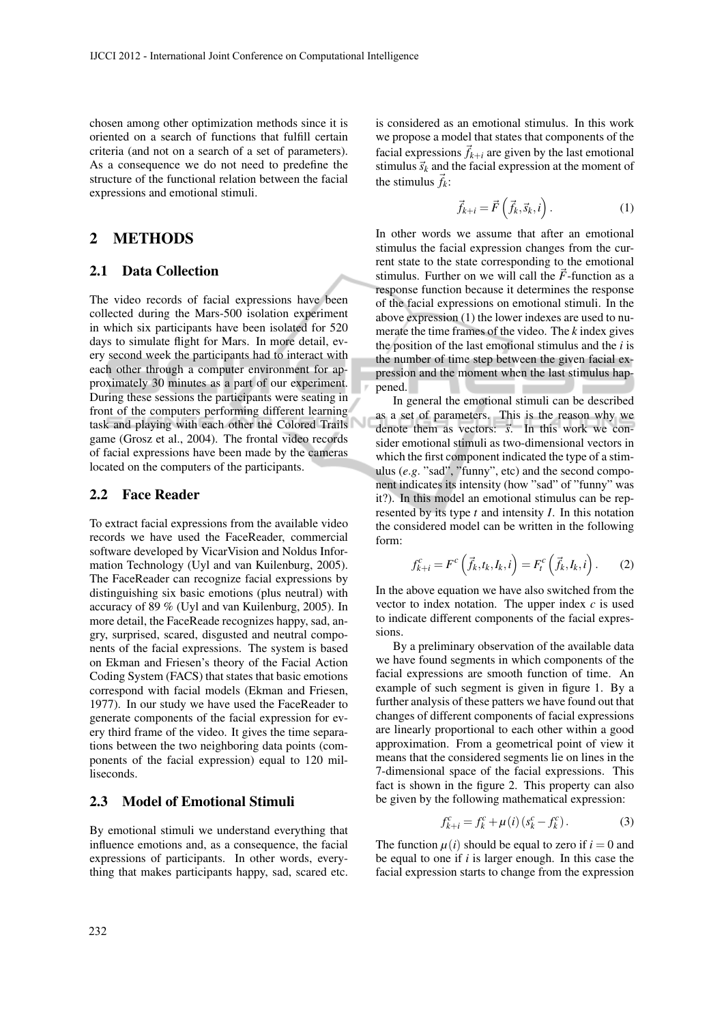chosen among other optimization methods since it is oriented on a search of functions that fulfill certain criteria (and not on a search of a set of parameters). As a consequence we do not need to predefine the structure of the functional relation between the facial expressions and emotional stimuli.

# 2 METHODS

#### 2.1 Data Collection

The video records of facial expressions have been collected during the Mars-500 isolation experiment in which six participants have been isolated for 520 days to simulate flight for Mars. In more detail, every second week the participants had to interact with each other through a computer environment for approximately 30 minutes as a part of our experiment. During these sessions the participants were seating in front of the computers performing different learning task and playing with each other the Colored Trails game (Grosz et al., 2004). The frontal video records of facial expressions have been made by the cameras located on the computers of the participants.

#### 2.2 Face Reader

To extract facial expressions from the available video records we have used the FaceReader, commercial software developed by VicarVision and Noldus Information Technology (Uyl and van Kuilenburg, 2005). The FaceReader can recognize facial expressions by distinguishing six basic emotions (plus neutral) with accuracy of 89 % (Uyl and van Kuilenburg, 2005). In more detail, the FaceReade recognizes happy, sad, angry, surprised, scared, disgusted and neutral components of the facial expressions. The system is based on Ekman and Friesen's theory of the Facial Action Coding System (FACS) that states that basic emotions correspond with facial models (Ekman and Friesen, 1977). In our study we have used the FaceReader to generate components of the facial expression for every third frame of the video. It gives the time separations between the two neighboring data points (components of the facial expression) equal to 120 milliseconds.

#### 2.3 Model of Emotional Stimuli

By emotional stimuli we understand everything that influence emotions and, as a consequence, the facial expressions of participants. In other words, everything that makes participants happy, sad, scared etc. is considered as an emotional stimulus. In this work we propose a model that states that components of the facial expressions  $\vec{f}_{k+i}$  are given by the last emotional stimulus  $\vec{s}_k$  and the facial expression at the moment of the stimulus  $\vec{f}_k$ :

$$
\vec{f}_{k+i} = \vec{F}\left(\vec{f}_k, \vec{s}_k, i\right). \tag{1}
$$

In other words we assume that after an emotional stimulus the facial expression changes from the current state to the state corresponding to the emotional stimulus. Further on we will call the  $\vec{F}$ -function as a response function because it determines the response of the facial expressions on emotional stimuli. In the above expression (1) the lower indexes are used to numerate the time frames of the video. The *k* index gives the position of the last emotional stimulus and the *i* is the number of time step between the given facial expression and the moment when the last stimulus happened.

In general the emotional stimuli can be described as a set of parameters. This is the reason why we denote them as vectors:  $\vec{s}$ . In this work we consider emotional stimuli as two-dimensional vectors in which the first component indicated the type of a stimulus (e.g. "sad", "funny", etc) and the second component indicates its intensity (how "sad" of "funny" was it?). In this model an emotional stimulus can be represented by its type *t* and intensity *I*. In this notation the considered model can be written in the following form:

$$
f_{k+i}^c = F^c\left(\vec{f}_k, t_k, I_k, i\right) = F_t^c\left(\vec{f}_k, I_k, i\right). \tag{2}
$$

In the above equation we have also switched from the vector to index notation. The upper index *c* is used to indicate different components of the facial expressions.

By a preliminary observation of the available data we have found segments in which components of the facial expressions are smooth function of time. An example of such segment is given in figure 1. By a further analysis of these patters we have found out that changes of different components of facial expressions are linearly proportional to each other within a good approximation. From a geometrical point of view it means that the considered segments lie on lines in the 7-dimensional space of the facial expressions. This fact is shown in the figure 2. This property can also be given by the following mathematical expression:

$$
f_{k+i}^c = f_k^c + \mu(i) (s_k^c - f_k^c).
$$
 (3)

The function  $\mu(i)$  should be equal to zero if  $i = 0$  and be equal to one if *i* is larger enough. In this case the facial expression starts to change from the expression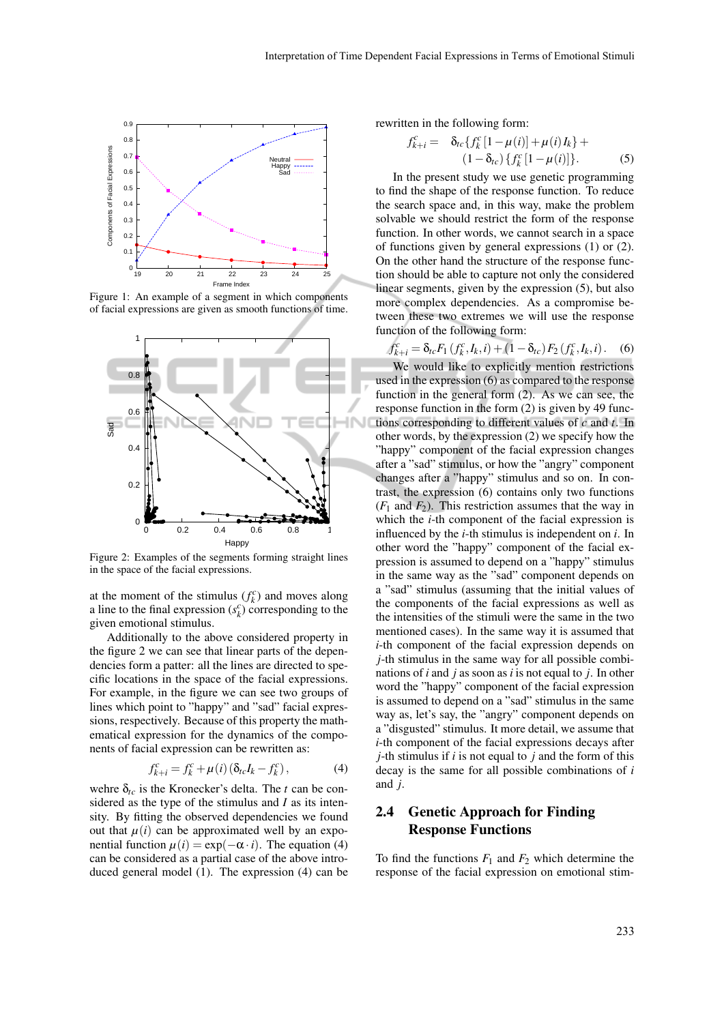

Figure 1: An example of a segment in which components of facial expressions are given as smooth functions of time.



Figure 2: Examples of the segments forming straight lines in the space of the facial expressions.

at the moment of the stimulus  $(f_k^c)$  and moves along a line to the final expression  $(s_k^c)$  corresponding to the given emotional stimulus.

Additionally to the above considered property in the figure 2 we can see that linear parts of the dependencies form a patter: all the lines are directed to specific locations in the space of the facial expressions. For example, in the figure we can see two groups of lines which point to "happy" and "sad" facial expressions, respectively. Because of this property the mathematical expression for the dynamics of the components of facial expression can be rewritten as:

$$
f_{k+i}^c = f_k^c + \mu(i) \left( \delta_{tc} I_k - f_k^c \right), \tag{4}
$$

wehre  $\delta_{tc}$  is the Kronecker's delta. The *t* can be considered as the type of the stimulus and *I* as its intensity. By fitting the observed dependencies we found out that  $\mu(i)$  can be approximated well by an exponential function  $\mu(i) = \exp(-\alpha \cdot i)$ . The equation (4) can be considered as a partial case of the above introduced general model (1). The expression (4) can be rewritten in the following form:

$$
f_{k+i}^{c} = \delta_{tc} \{ f_{k}^{c} [1 - \mu(i)] + \mu(i) I_{k} \} +
$$
  

$$
(1 - \delta_{tc}) \{ f_{k}^{c} [1 - \mu(i)] \}.
$$
 (5)

In the present study we use genetic programming to find the shape of the response function. To reduce the search space and, in this way, make the problem solvable we should restrict the form of the response function. In other words, we cannot search in a space of functions given by general expressions (1) or (2). On the other hand the structure of the response function should be able to capture not only the considered linear segments, given by the expression (5), but also more complex dependencies. As a compromise between these two extremes we will use the response function of the following form:

$$
f_{k+i}^c = \delta_{tc} F_1(f_k^c, I_k, i) + (1 - \delta_{tc}) F_2(f_k^c, I_k, i).
$$
 (6)

We would like to explicitly mention restrictions used in the expression (6) as compared to the response function in the general form (2). As we can see, the response function in the form (2) is given by 49 functions corresponding to different values of *c* and *t*. In other words, by the expression (2) we specify how the "happy" component of the facial expression changes after a "sad" stimulus, or how the "angry" component changes after a "happy" stimulus and so on. In contrast, the expression (6) contains only two functions  $(F_1$  and  $F_2)$ . This restriction assumes that the way in which the *i*-th component of the facial expression is influenced by the *i*-th stimulus is independent on *i*. In other word the "happy" component of the facial expression is assumed to depend on a "happy" stimulus in the same way as the "sad" component depends on a "sad" stimulus (assuming that the initial values of the components of the facial expressions as well as the intensities of the stimuli were the same in the two mentioned cases). In the same way it is assumed that *i*-th component of the facial expression depends on *j*-th stimulus in the same way for all possible combinations of *i* and *j* as soon as *i* is not equal to *j*. In other word the "happy" component of the facial expression is assumed to depend on a "sad" stimulus in the same way as, let's say, the "angry" component depends on a "disgusted" stimulus. It more detail, we assume that *i*-th component of the facial expressions decays after *j*-th stimulus if *i* is not equal to *j* and the form of this decay is the same for all possible combinations of *i* and *j*.

# 2.4 Genetic Approach for Finding Response Functions

To find the functions  $F_1$  and  $F_2$  which determine the response of the facial expression on emotional stim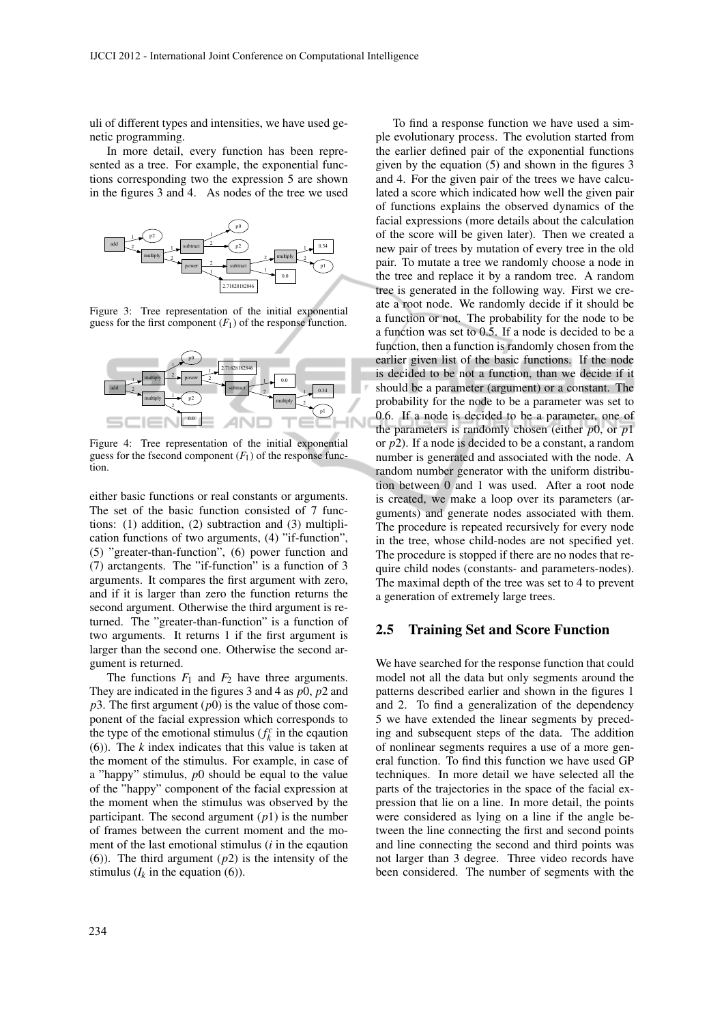uli of different types and intensities, we have used genetic programming.

In more detail, every function has been represented as a tree. For example, the exponential functions corresponding two the expression 5 are shown in the figures 3 and 4. As nodes of the tree we used



Figure 3: Tree representation of the initial exponential guess for the first component  $(F_1)$  of the response function.



Figure 4: Tree representation of the initial exponential guess for the fsecond component  $(F_1)$  of the response function.

either basic functions or real constants or arguments. The set of the basic function consisted of 7 functions: (1) addition, (2) subtraction and (3) multiplication functions of two arguments, (4) "if-function", (5) "greater-than-function", (6) power function and (7) arctangents. The "if-function" is a function of 3 arguments. It compares the first argument with zero, and if it is larger than zero the function returns the second argument. Otherwise the third argument is returned. The "greater-than-function" is a function of two arguments. It returns 1 if the first argument is larger than the second one. Otherwise the second argument is returned.

The functions  $F_1$  and  $F_2$  have three arguments. They are indicated in the figures 3 and 4 as *p*0, *p*2 and  $p3$ . The first argument  $(p0)$  is the value of those component of the facial expression which corresponds to the type of the emotional stimulus ( $f_k^c$  in the equation (6)). The *k* index indicates that this value is taken at the moment of the stimulus. For example, in case of a "happy" stimulus, *p*0 should be equal to the value of the "happy" component of the facial expression at the moment when the stimulus was observed by the participant. The second argument  $(p1)$  is the number of frames between the current moment and the moment of the last emotional stimulus (*i* in the eqaution (6)). The third argument (*p*2) is the intensity of the stimulus  $(I_k$  in the equation  $(6)$ ).

To find a response function we have used a simple evolutionary process. The evolution started from the earlier defined pair of the exponential functions given by the equation (5) and shown in the figures 3 and 4. For the given pair of the trees we have calculated a score which indicated how well the given pair of functions explains the observed dynamics of the facial expressions (more details about the calculation of the score will be given later). Then we created a new pair of trees by mutation of every tree in the old pair. To mutate a tree we randomly choose a node in the tree and replace it by a random tree. A random tree is generated in the following way. First we create a root node. We randomly decide if it should be a function or not. The probability for the node to be a function was set to 0.5. If a node is decided to be a function, then a function is randomly chosen from the earlier given list of the basic functions. If the node is decided to be not a function, than we decide if it should be a parameter (argument) or a constant. The probability for the node to be a parameter was set to 0.6. If a node is decided to be a parameter, one of the parameters is randomly chosen (either *p*0, or *p*1 or *p*2). If a node is decided to be a constant, a random number is generated and associated with the node. A random number generator with the uniform distribution between 0 and 1 was used. After a root node is created, we make a loop over its parameters (arguments) and generate nodes associated with them. The procedure is repeated recursively for every node in the tree, whose child-nodes are not specified yet. The procedure is stopped if there are no nodes that require child nodes (constants- and parameters-nodes). The maximal depth of the tree was set to 4 to prevent a generation of extremely large trees.

#### 2.5 Training Set and Score Function

We have searched for the response function that could model not all the data but only segments around the patterns described earlier and shown in the figures 1 and 2. To find a generalization of the dependency 5 we have extended the linear segments by preceding and subsequent steps of the data. The addition of nonlinear segments requires a use of a more general function. To find this function we have used GP techniques. In more detail we have selected all the parts of the trajectories in the space of the facial expression that lie on a line. In more detail, the points were considered as lying on a line if the angle between the line connecting the first and second points and line connecting the second and third points was not larger than 3 degree. Three video records have been considered. The number of segments with the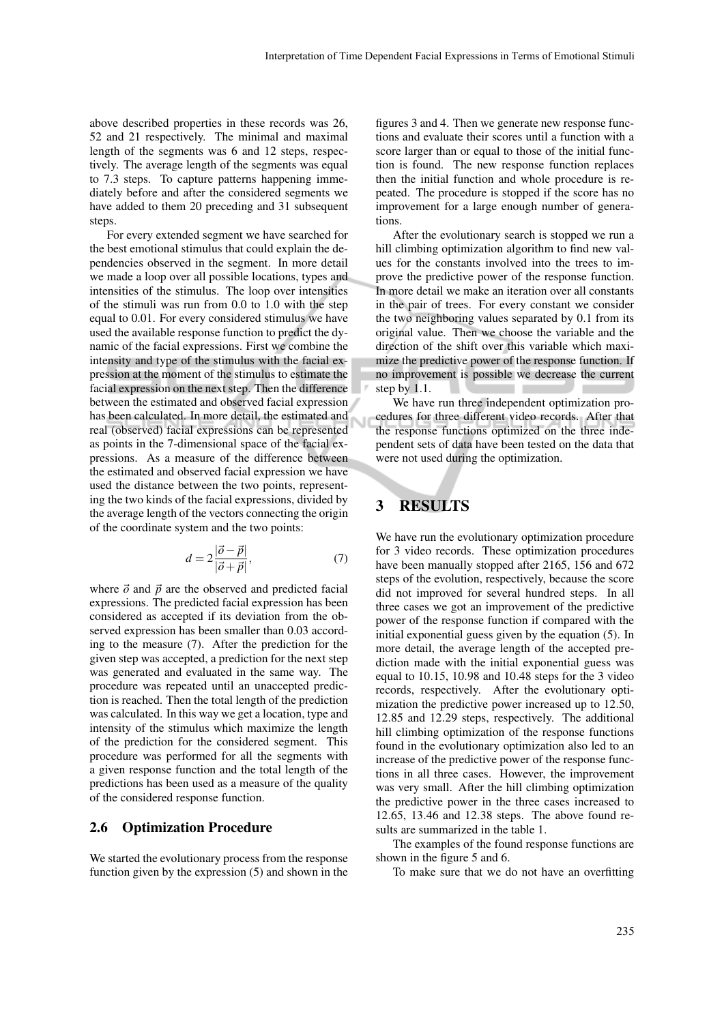above described properties in these records was 26, 52 and 21 respectively. The minimal and maximal length of the segments was 6 and 12 steps, respectively. The average length of the segments was equal to 7.3 steps. To capture patterns happening immediately before and after the considered segments we have added to them 20 preceding and 31 subsequent steps.

For every extended segment we have searched for the best emotional stimulus that could explain the dependencies observed in the segment. In more detail we made a loop over all possible locations, types and intensities of the stimulus. The loop over intensities of the stimuli was run from 0.0 to 1.0 with the step equal to 0.01. For every considered stimulus we have used the available response function to predict the dynamic of the facial expressions. First we combine the intensity and type of the stimulus with the facial expression at the moment of the stimulus to estimate the facial expression on the next step. Then the difference between the estimated and observed facial expression has been calculated. In more detail, the estimated and real (observed) facial expressions can be represented as points in the 7-dimensional space of the facial expressions. As a measure of the difference between the estimated and observed facial expression we have used the distance between the two points, representing the two kinds of the facial expressions, divided by the average length of the vectors connecting the origin of the coordinate system and the two points:

$$
d = 2\frac{|\vec{o} - \vec{p}|}{|\vec{o} + \vec{p}|},\tag{7}
$$

where  $\vec{o}$  and  $\vec{p}$  are the observed and predicted facial expressions. The predicted facial expression has been considered as accepted if its deviation from the observed expression has been smaller than 0.03 according to the measure (7). After the prediction for the given step was accepted, a prediction for the next step was generated and evaluated in the same way. The procedure was repeated until an unaccepted prediction is reached. Then the total length of the prediction was calculated. In this way we get a location, type and intensity of the stimulus which maximize the length of the prediction for the considered segment. This procedure was performed for all the segments with a given response function and the total length of the predictions has been used as a measure of the quality of the considered response function.

#### 2.6 Optimization Procedure

We started the evolutionary process from the response function given by the expression (5) and shown in the figures 3 and 4. Then we generate new response functions and evaluate their scores until a function with a score larger than or equal to those of the initial function is found. The new response function replaces then the initial function and whole procedure is repeated. The procedure is stopped if the score has no improvement for a large enough number of generations.

After the evolutionary search is stopped we run a hill climbing optimization algorithm to find new values for the constants involved into the trees to improve the predictive power of the response function. In more detail we make an iteration over all constants in the pair of trees. For every constant we consider the two neighboring values separated by 0.1 from its original value. Then we choose the variable and the direction of the shift over this variable which maximize the predictive power of the response function. If no improvement is possible we decrease the current step by 1.1. 

We have run three independent optimization procedures for three different video records. After that the response functions optimized on the three independent sets of data have been tested on the data that were not used during the optimization.

### 3 RESULTS

Ū

We have run the evolutionary optimization procedure for 3 video records. These optimization procedures have been manually stopped after 2165, 156 and 672 steps of the evolution, respectively, because the score did not improved for several hundred steps. In all three cases we got an improvement of the predictive power of the response function if compared with the initial exponential guess given by the equation (5). In more detail, the average length of the accepted prediction made with the initial exponential guess was equal to 10.15, 10.98 and 10.48 steps for the 3 video records, respectively. After the evolutionary optimization the predictive power increased up to 12.50, 12.85 and 12.29 steps, respectively. The additional hill climbing optimization of the response functions found in the evolutionary optimization also led to an increase of the predictive power of the response functions in all three cases. However, the improvement was very small. After the hill climbing optimization the predictive power in the three cases increased to 12.65, 13.46 and 12.38 steps. The above found results are summarized in the table 1.

The examples of the found response functions are shown in the figure 5 and 6.

To make sure that we do not have an overfitting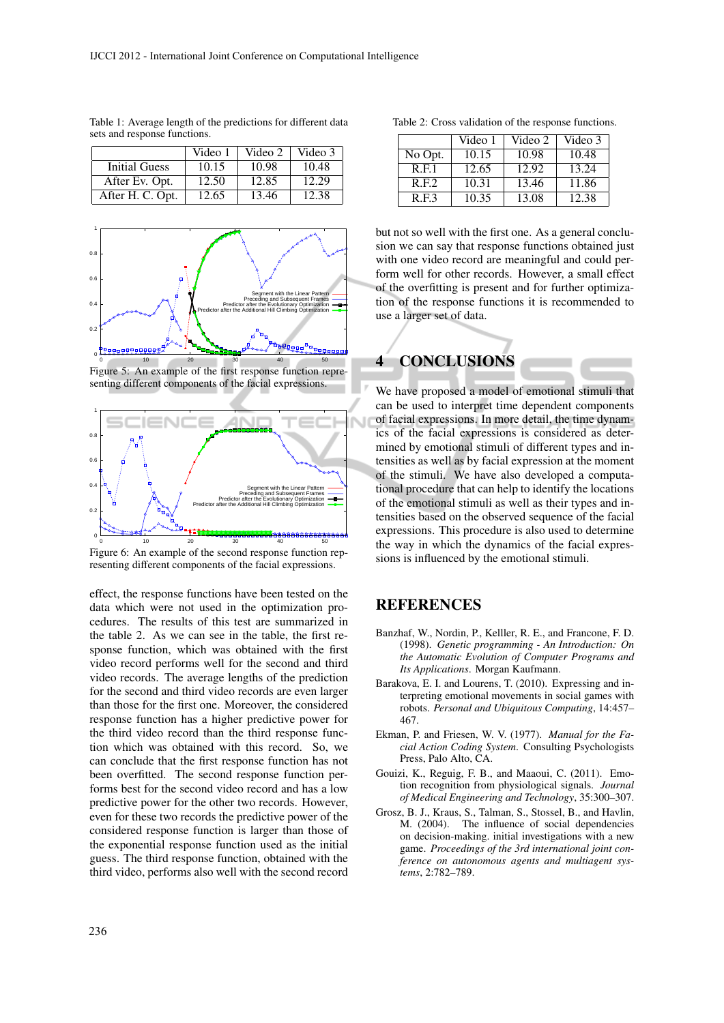|                      | Video 1 | Video 2 | Video 3 |
|----------------------|---------|---------|---------|
| <b>Initial Guess</b> | 10.15   | 10.98   | 10.48   |
| After Ev. Opt.       | 12.50   | 12.85   | 12.29   |
| After H. C. Opt.     | 12.65   | 13.46   | 12.38   |

Table 1: Average length of the predictions for different data sets and response functions.



Figure 5: An example of the first response function representing different components of the facial expressions.



Figure 6: An example of the second response function representing different components of the facial expressions.

effect, the response functions have been tested on the data which were not used in the optimization procedures. The results of this test are summarized in the table 2. As we can see in the table, the first response function, which was obtained with the first video record performs well for the second and third video records. The average lengths of the prediction for the second and third video records are even larger than those for the first one. Moreover, the considered response function has a higher predictive power for the third video record than the third response function which was obtained with this record. So, we can conclude that the first response function has not been overfitted. The second response function performs best for the second video record and has a low predictive power for the other two records. However, even for these two records the predictive power of the considered response function is larger than those of the exponential response function used as the initial guess. The third response function, obtained with the third video, performs also well with the second record

| Table 2: Cross validation of the response functions. |  |  |  |
|------------------------------------------------------|--|--|--|
|------------------------------------------------------|--|--|--|

|         | Video 1 | Video 2 | Video 3 |
|---------|---------|---------|---------|
| No Opt. | 10.15   | 10.98   | 10.48   |
| R.E.1   | 12.65   | 12.92   | 13.24   |
| R.E.2   | 10.31   | 13.46   | 11.86   |
| R.E.3   | 10.35   | 13.08   | 12.38   |

but not so well with the first one. As a general conclusion we can say that response functions obtained just with one video record are meaningful and could perform well for other records. However, a small effect of the overfitting is present and for further optimization of the response functions it is recommended to use a larger set of data.



We have proposed a model of emotional stimuli that can be used to interpret time dependent components of facial expressions. In more detail, the time dynamics of the facial expressions is considered as determined by emotional stimuli of different types and intensities as well as by facial expression at the moment of the stimuli. We have also developed a computational procedure that can help to identify the locations of the emotional stimuli as well as their types and intensities based on the observed sequence of the facial expressions. This procedure is also used to determine the way in which the dynamics of the facial expressions is influenced by the emotional stimuli.

## **REFERENCES**

- Banzhaf, W., Nordin, P., Kelller, R. E., and Francone, F. D. (1998). *Genetic programming - An Introduction: On the Automatic Evolution of Computer Programs and Its Applications*. Morgan Kaufmann.
- Barakova, E. I. and Lourens, T. (2010). Expressing and interpreting emotional movements in social games with robots. *Personal and Ubiquitous Computing*, 14:457– 467.
- Ekman, P. and Friesen, W. V. (1977). *Manual for the Facial Action Coding System*. Consulting Psychologists Press, Palo Alto, CA.
- Gouizi, K., Reguig, F. B., and Maaoui, C. (2011). Emotion recognition from physiological signals. *Journal of Medical Engineering and Technology*, 35:300–307.
- Grosz, B. J., Kraus, S., Talman, S., Stossel, B., and Havlin, M. (2004). The influence of social dependencies on decision-making. initial investigations with a new game. *Proceedings of the 3rd international joint conference on autonomous agents and multiagent systems*, 2:782–789.